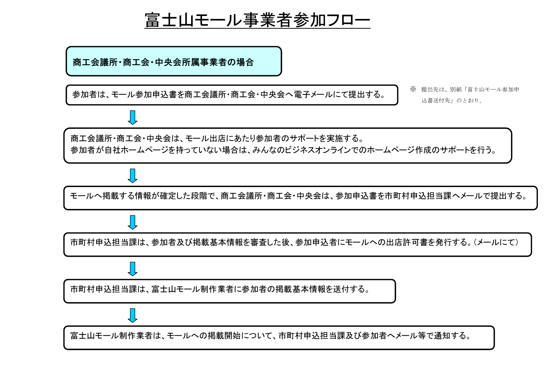

商工会議所・商工会・中央会所属事業者の場合

参加者は、モール参加申込書を商工会議所・商工会・中央会へ電子メールにて提出する。

※ 提出先は、別紙「富士山モール参加申 込書送付先」のとおり。



モールへ掲載する情報が確定した段階で、商工会議所・商工会・中央会は、参加申込書を市町村申込担当課へメールで提出する。

市町村申込担当課は、参加者及び掲載基本情報を審査した後、参加申込者にモールへの出店許可書を発行する。(メールにて)

市町村申込担当課は、富士山モール制作業者に参加者の掲載基本情報を送付する。

富士山モール制作業者は、モールへの掲載開始について、市町村申込担当課及び参加者ヘメール等で通知する。